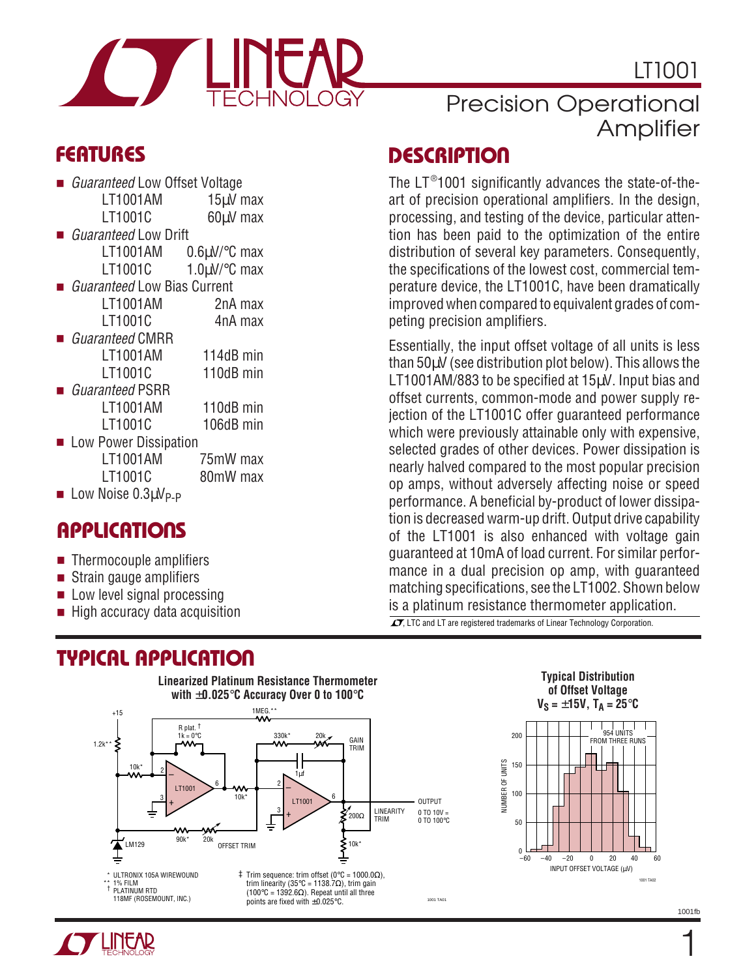

LT1001

- *Guaranteed* Low Offset Voltage LT1001AM 15uV max LT1001C 60uV max
- *Guaranteed* Low Drift LT1001AM 0.6µV/°C max LT1001C  $1.0 \text{uV}$ °C max
- *Guaranteed* Low Bias Current LT1001AM 2nA max LT1001C 4nA max
- Guaranteed CMRR LT1001AM 114dB min LT1001C 110dB min
- Guaranteed PSRR LT1001AM 110dB min LT1001C 106dB min
- Low Power Dissipation LT1001AM 75mW max LT1001C 80mW max
- **Low Noise 0.3** $\mu$ **V<sub>P-P</sub>**

#### **APPLICATIONS**

- Thermocouple amplifiers
- Strain gauge amplifiers
- Low level signal processing
- High accuracy data acquisition

### **TYPICAL APPLICATION**

## Precision Operational Amplifier

#### **DESCRIPTIO <sup>U</sup> FEATURES**

The  $LT^{\circledast}$ 1001 significantly advances the state-of-theart of precision operational amplifiers. In the design, processing, and testing of the device, particular attention has been paid to the optimization of the entire distribution of several key parameters. Consequently, the specifications of the lowest cost, commercial temperature device, the LT1001C, have been dramatically improved when compared to equivalent grades of competing precision amplifiers.

Essentially, the input offset voltage of all units is less than 50µV (see distribution plot below). This allows the LT1001AM/883 to be specified at 15µV. Input bias and offset currents, common-mode and power supply rejection of the LT1001C offer guaranteed performance which were previously attainable only with expensive, selected grades of other devices. Power dissipation is nearly halved compared to the most popular precision op amps, without adversely affecting noise or speed performance. A beneficial by-product of lower dissipation is decreased warm-up drift. Output drive capability of the LT1001 is also enhanced with voltage gain guaranteed at 10mA of load current. For similar performance in a dual precision op amp, with guaranteed matching specifications, see the LT1002. Shown below is a platinum resistance thermometer application.

 $\overline{\mathcal{L}\mathcal{I}}$ , LTC and LT are registered trademarks of Linear Technology Corporation.







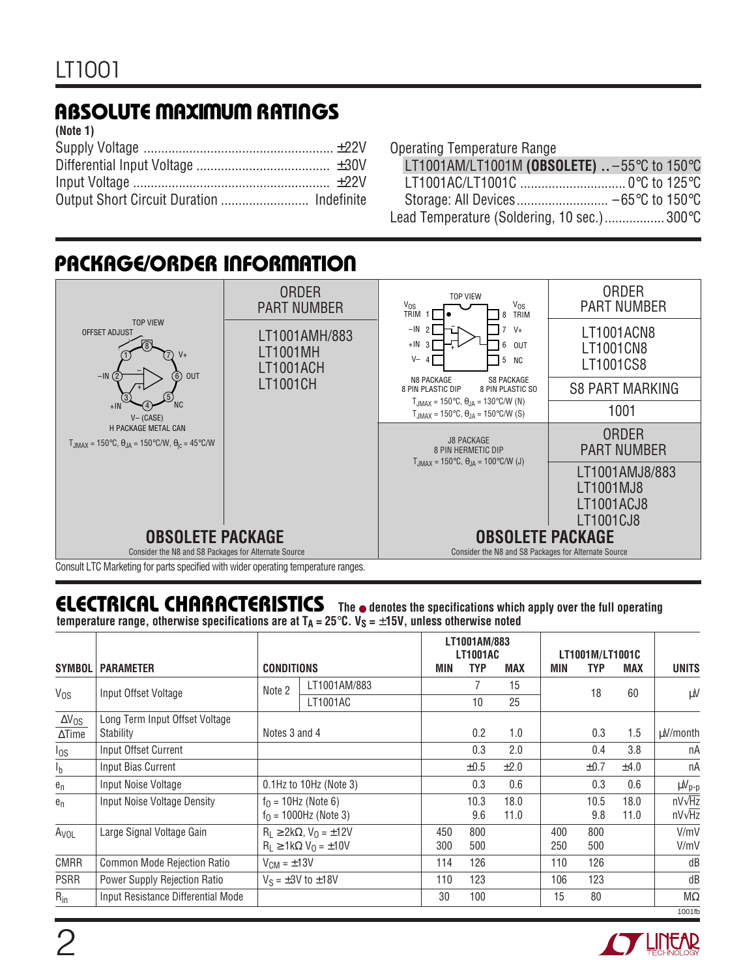## **ABSOLUTE MAXIMUM RATINGS W W W U**

| (Note 1) |  |
|----------|--|
|          |  |
|          |  |
|          |  |
|          |  |

|  | <b>Operating Temperature Range</b> |  |
|--|------------------------------------|--|
|--|------------------------------------|--|

| LT1001AM/LT1001M (OBSOLETE) $1. -55^{\circ}$ C to 150 $^{\circ}$ C |  |
|--------------------------------------------------------------------|--|
|                                                                    |  |
| Storage: All Devices −65°C to 150°C                                |  |
| Lead Temperature (Soldering, 10 sec.) 300°C                        |  |

#### **PACKAGE/ORDER INFORMATION**



Consult LTC Marketing for parts specified with wider operating temperature ranges.

## **ELECTRICAL CHARACTERISTICS The** ● **denotes the specifications which apply over the full operating**

**temperature range, otherwise specifications are at**  $T_A = 25^\circ \text{C}$ **.**  $V_S = \pm 15V$ **, unless otherwise noted** 

|                  |                                    |                              |                                       |     | LT1001AM/883<br><b>LT1001AC</b> |            |     | LT1001M/LT1001C |            |               |
|------------------|------------------------------------|------------------------------|---------------------------------------|-----|---------------------------------|------------|-----|-----------------|------------|---------------|
| <b>SYMBOL</b>    | <b>PARAMETER</b>                   | <b>CONDITIONS</b>            |                                       | MIN | <b>TYP</b>                      | <b>MAX</b> | MIN | <b>TYP</b>      | <b>MAX</b> | <b>UNITS</b>  |
| Vos              | Input Offset Voltage               | Note 2                       | LT1001AM/883                          |     |                                 | 15         |     | 18              | 60         | μV            |
|                  |                                    |                              | LT1001AC                              |     | 10                              | 25         |     |                 |            |               |
| $\Delta V_{OS}$  | Long Term Input Offset Voltage     |                              |                                       |     |                                 |            |     |                 |            |               |
| $\Delta$ Time    | Stability                          | Notes 3 and 4                |                                       |     | 0.2                             | 1.0        |     | 0.3             | 1.5        | uV/month      |
| $I_{OS}$         | Input Offset Current               |                              |                                       |     | 0.3                             | 2.0        |     | 0.4             | 3.8        | nA            |
| I <sub>b</sub>   | Input Bias Current                 |                              |                                       |     | $\pm 0.5$                       | ±2.0       |     | ±0.7            | ±4.0       | nA            |
| $e_n$            | Input Noise Voltage                | $0.1$ Hz to $10$ Hz (Note 3) |                                       |     | 0.3                             | 0.6        |     | 0.3             | 0.6        | $\mu V_{p-p}$ |
| $e_n$            | <b>Input Noise Voltage Density</b> |                              | $f0 = 10$ Hz (Note 6)                 |     | 10.3                            | 18.0       |     | 10.5            | 18.0       | $nV\sqrt{Hz}$ |
|                  |                                    |                              | $f_0 = 1000$ Hz (Note 3)              |     | 9.6                             | 11.0       |     | 9.8             | 11.0       | $nV\sqrt{Hz}$ |
| A <sub>VOL</sub> | Large Signal Voltage Gain          |                              | $R_1 \geq 2k\Omega$ , $V_0 = \pm 12V$ | 450 | 800                             |            | 400 | 800             |            | V/mV          |
|                  |                                    |                              | $R_1 \geq 1k\Omega V_0 = \pm 10V$     | 300 | 500                             |            | 250 | 500             |            | V/mV          |
| <b>CMRR</b>      | Common Mode Rejection Ratio        | $V_{CM} = \pm 13V$           |                                       | 114 | 126                             |            | 110 | 126             |            | dB            |
| <b>PSRR</b>      | Power Supply Rejection Ratio       |                              | $V_S = \pm 3V$ to $\pm 18V$           | 110 | 123                             |            | 106 | 123             |            | dB            |
| $R_{in}$         | Input Resistance Differential Mode |                              |                                       | 30  | 100                             |            | 15  | 80              |            | $M\Omega$     |
|                  |                                    |                              |                                       |     |                                 |            |     |                 |            | 1001fb        |

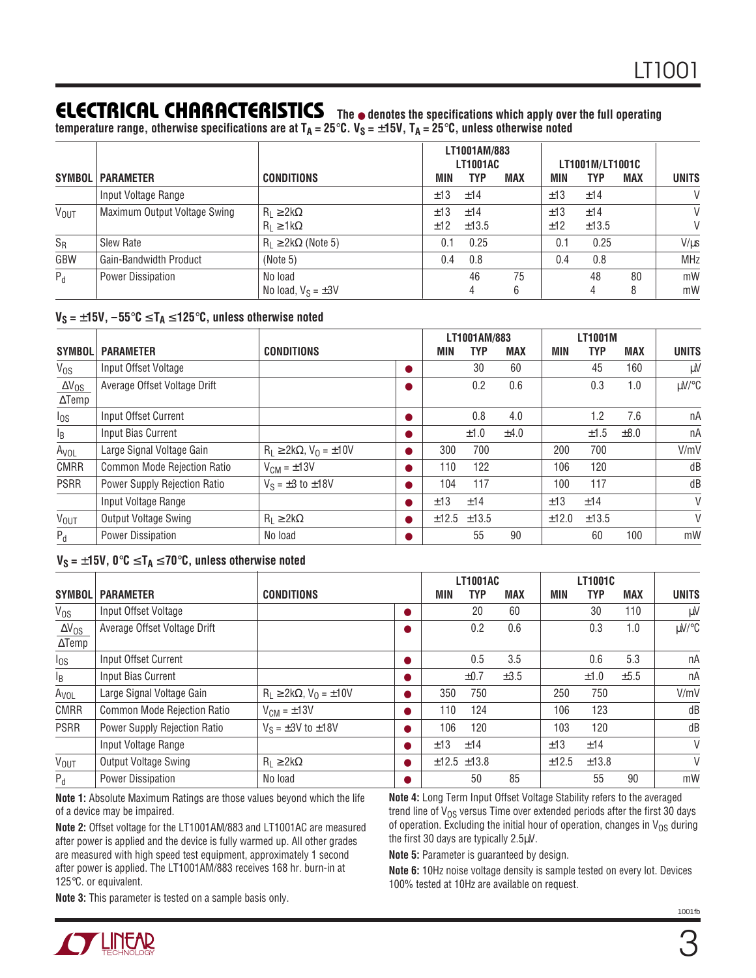#### **ELECTRICAL CHARACTERISTICS The** ● **denotes the specifications which apply over the full operating**

**temperature range, otherwise specifications are at TA = 25**°**C. VS =** ±**15V, TA = 25**°**C, unless otherwise noted**

|                        |                               |                                            |            | LT1001AM/883<br><b>LT1001AC</b> |         | LT1001M/LT1001C |              |         |              |  |  |  |
|------------------------|-------------------------------|--------------------------------------------|------------|---------------------------------|---------|-----------------|--------------|---------|--------------|--|--|--|
|                        | <b>SYMBOL   PARAMETER</b>     | <b>CONDITIONS</b>                          | MIN        | <b>TYP</b>                      | MAX     | MIN             | TYP          | MAX     | <b>UNITS</b> |  |  |  |
|                        | Input Voltage Range           |                                            | ±13        | ±14                             |         | ±13             | ±14          |         | $\vee$       |  |  |  |
| <b>V<sub>OUT</sub></b> | Maximum Output Voltage Swing  | $R_L \geq 2k\Omega$<br>$R_1 \geq 1k\Omega$ | ±13<br>±12 | ±14<br>±13.5                    |         | ±13<br>±12      | ±14<br>±13.5 |         | $\vee$<br>V  |  |  |  |
| $S_R$                  | Slew Rate                     | $R_1 \geq 2k\Omega$ (Note 5)               | 0.1        | 0.25                            |         | 0.1             | 0.25         |         | $V/\mu s$    |  |  |  |
| GBW                    | <b>Gain-Bandwidth Product</b> | (Note 5)                                   | 0.4        | 0.8                             |         | 0.4             | 0.8          |         | <b>MHz</b>   |  |  |  |
| $P_d$                  | <b>Power Dissipation</b>      | No load<br>No load, $V_S = \pm 3V$         |            | 46<br>4                         | 75<br>6 |                 | 48           | 80<br>8 | mW<br>mW     |  |  |  |

#### **VS =** ±**15V, –55**°**C** ≤ **TA** ≤ **125**°**C, unless otherwise noted**

|                        |                              |                                       |       | LT1001AM/883 |            |       | <b>LT1001M</b> |            |              |
|------------------------|------------------------------|---------------------------------------|-------|--------------|------------|-------|----------------|------------|--------------|
| <b>SYMBOL</b>          | <b>PARAMETER</b>             | <b>CONDITIONS</b>                     | MIN   | TYP          | <b>MAX</b> | MIN   | TYP            | <b>MAX</b> | <b>UNITS</b> |
| V <sub>os</sub>        | Input Offset Voltage         |                                       |       | 30           | 60         |       | 45             | 160        | μV           |
| $\Delta V_{OS}$        | Average Offset Voltage Drift |                                       |       | 0.2          | 0.6        |       | 0.3            | 1.0        | µV/°C        |
| $\Delta$ Temp          |                              |                                       |       |              |            |       |                |            |              |
| $I_{OS}$               | Input Offset Current         |                                       |       | 0.8          | 4.0        |       | 1.2            | 7.6        | nA           |
| $I_B$                  | Input Bias Current           |                                       |       | ±1.0         | ±4.0       |       | ±1.5           | $\pm 8.0$  | nA           |
| A <sub>VOL</sub>       | Large Signal Voltage Gain    | $R_L \geq 2k\Omega$ , $V_0 = \pm 10V$ | 300   | 700          |            | 200   | 700            |            | V/mV         |
| <b>CMRR</b>            | Common Mode Rejection Ratio  | $V_{CM} = \pm 13V$                    | 110   | 122          |            | 106   | 120            |            | dB           |
| <b>PSRR</b>            | Power Supply Rejection Ratio | $V_S = \pm 3$ to $\pm 18V$            | 104   | 117          |            | 100   | 117            |            | dB           |
|                        | Input Voltage Range          |                                       | ±13   | ±14          |            | ±13   | ±14            |            | $\vee$       |
| <b>V<sub>OUT</sub></b> | Output Voltage Swing         | $R_1 \geq 2k\Omega$                   | ±12.5 | ±13.5        |            | ±12.0 | ±13.5          |            | $\vee$       |
| $P_d$                  | <b>Power Dissipation</b>     | No load                               |       | 55           | 90         |       | 60             | 100        | mW           |

#### **VS =** ±**15V, 0**°**C** ≤ **TA** ≤ **70**°**C, unless otherwise noted**

|                        |                              |                                       |   |             | <b>LT1001AC</b> |            |       | LT1001C    |            |              |
|------------------------|------------------------------|---------------------------------------|---|-------------|-----------------|------------|-------|------------|------------|--------------|
| <b>SYMBOL</b>          | <b>PARAMETER</b>             | <b>CONDITIONS</b>                     |   | MIN         | TYP             | <b>MAX</b> | MIN   | <b>TYP</b> | <b>MAX</b> | <b>UNITS</b> |
| $V_{OS}$               | Input Offset Voltage         |                                       | O |             | 20              | 60         |       | 30         | 110        | μV           |
| $\Delta V_{OS}$        | Average Offset Voltage Drift |                                       |   |             | 0.2             | 0.6        |       | 0.3        | 1.0        | µV/°C        |
| $\Delta$ Temp          |                              |                                       |   |             |                 |            |       |            |            |              |
| $I_{OS}$               | Input Offset Current         |                                       |   |             | 0.5             | 3.5        |       | 0.6        | 5.3        | nA           |
| $I_B$                  | Input Bias Current           |                                       | o |             | $\pm 0.7$       | $\pm 3.5$  |       | ±1.0       | ±5.5       | nA           |
| A <sub>VOL</sub>       | Large Signal Voltage Gain    | $R_1 \geq 2k\Omega$ , $V_0 = \pm 10V$ |   | 350         | 750             |            | 250   | 750        |            | V/mV         |
| <b>CMRR</b>            | Common Mode Rejection Ratio  | $V_{CM} = \pm 13V$                    |   | 110         | 124             |            | 106   | 123        |            | dB           |
| <b>PSRR</b>            | Power Supply Rejection Ratio | $V_S = \pm 3V$ to $\pm 18V$           |   | 106         | 120             |            | 103   | 120        |            | dB           |
|                        | Input Voltage Range          |                                       |   | ±13         | ±14             |            | ±13   | ±14        |            | $\vee$       |
| <b>V<sub>OUT</sub></b> | <b>Output Voltage Swing</b>  | $R_1 \geq 2k\Omega$                   |   | ±12.5 ±13.8 |                 |            | ±12.5 | ±13.8      |            | $\vee$       |
| $P_d$                  | <b>Power Dissipation</b>     | No load                               |   |             | 50              | 85         |       | 55         | 90         | mW           |

**Note 1:** Absolute Maximum Ratings are those values beyond which the life of a device may be impaired.

**Note 2:** Offset voltage for the LT1001AM/883 and LT1001AC are measured after power is applied and the device is fully warmed up. All other grades are measured with high speed test equipment, approximately 1 second after power is applied. The LT1001AM/883 receives 168 hr. burn-in at 125°C. or equivalent.

**Note 4:** Long Term Input Offset Voltage Stability refers to the averaged trend line of  $V_{OS}$  versus Time over extended periods after the first 30 days of operation. Excluding the initial hour of operation, changes in  $V_{OS}$  during the first 30 days are typically 2.5µV.

**Note 5:** Parameter is guaranteed by design.

**Note 6:** 10Hz noise voltage density is sample tested on every lot. Devices 100% tested at 10Hz are available on request.

**Note 3:** This parameter is tested on a sample basis only.

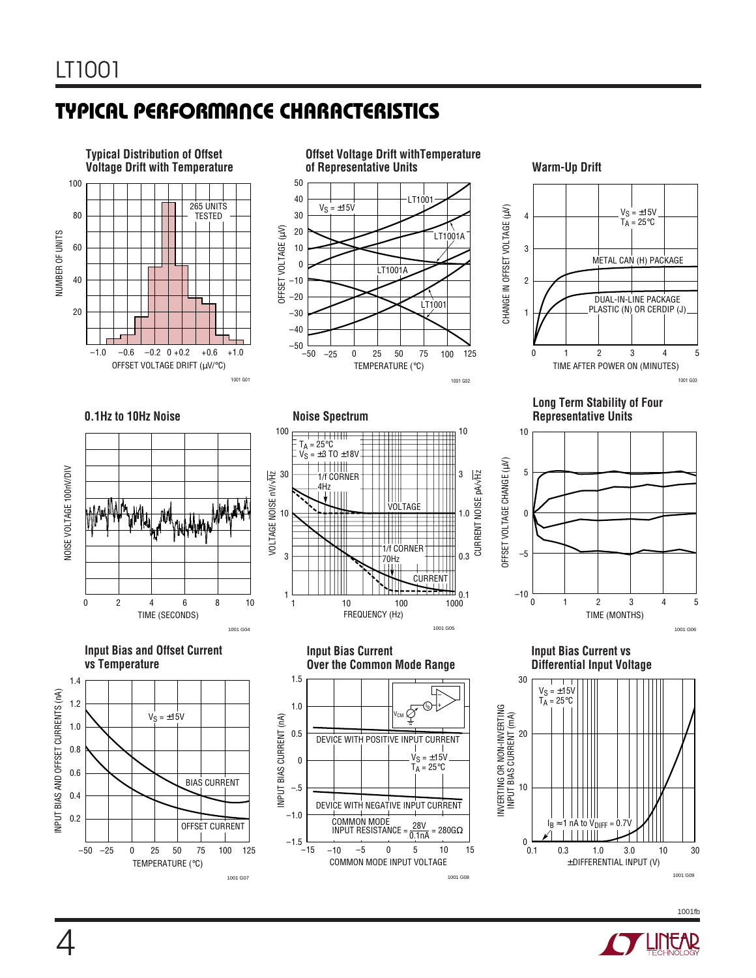## **TYPICAL PERFORMANCE CHARACTERISTICS W U**



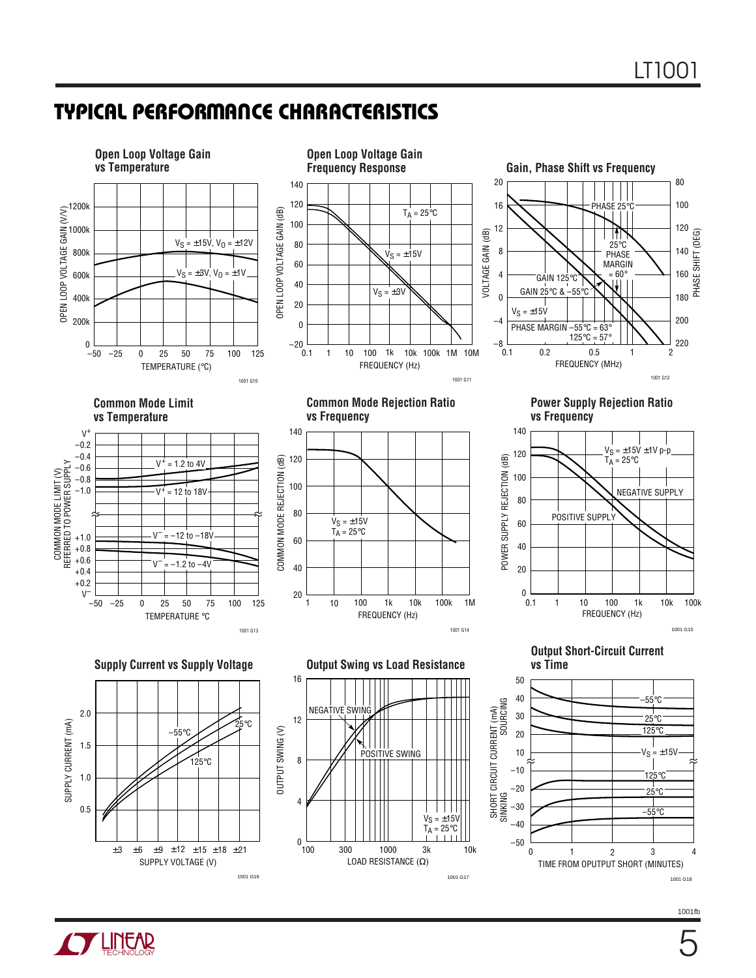## **TYPICAL PERFORMANCE CHARACTERISTICS W U**



1001 G17

1001fb 1001 G18

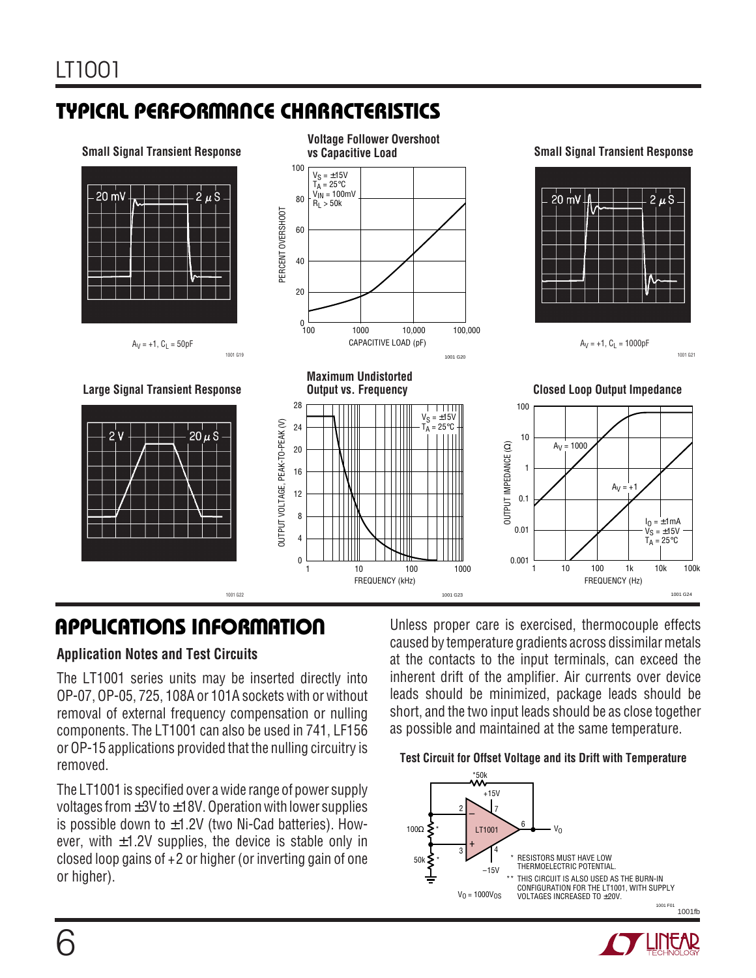## **TYPICAL PERFORMANCE CHARACTERISTICS W U**



#### **Application Notes and Test Circuits**

The LT1001 series units may be inserted directly into OP-07, OP-05, 725, 108A or 101A sockets with or without removal of external frequency compensation or nulling components. The LT1001 can also be used in 741, LF156 or OP-15 applications provided that the nulling circuitry is removed.

The LT1001 is specified over a wide range of power supply voltages from  $\pm 3V$  to  $\pm 18V$ . Operation with lower supplies is possible down to  $\pm$ 1.2V (two Ni-Cad batteries). However, with  $\pm 1.2V$  supplies, the device is stable only in closed loop gains of +2 or higher (or inverting gain of one or higher).

**APPLICATIONS INFORMATION** Unless proper care is exercised, thermocouple effects caused by temperature gradients across dissimilar metals at the contacts to the input terminals, can exceed the inherent drift of the amplifier. Air currents over device leads should be minimized, package leads should be short, and the two input leads should be as close together as possible and maintained at the same temperature.

#### **Test Circuit for Offset Voltage and its Drift with Temperature**



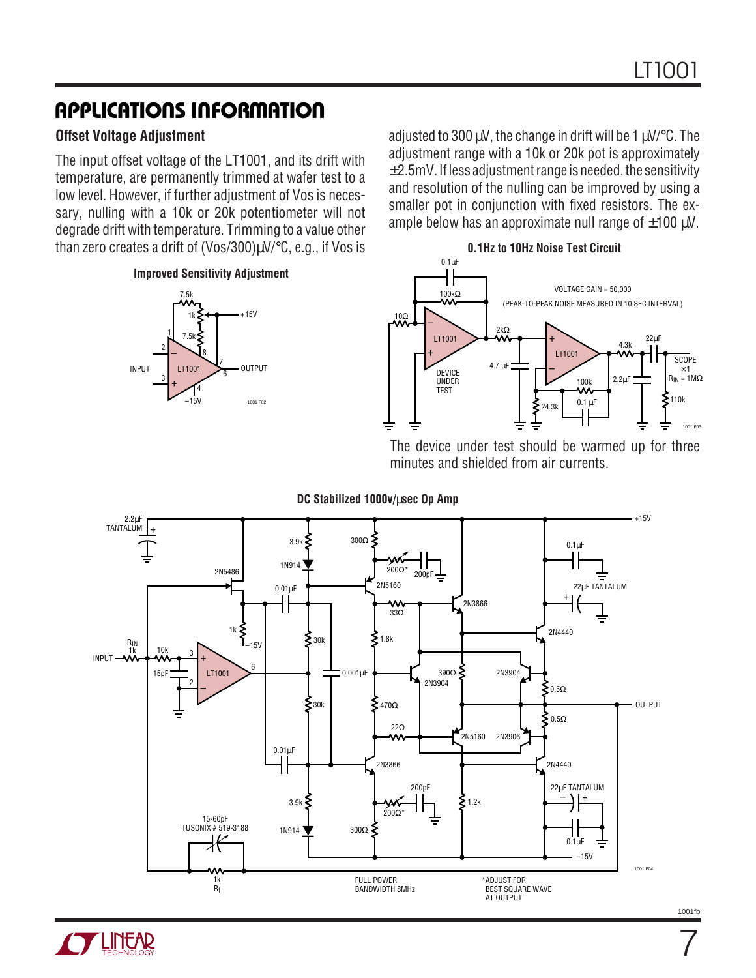#### **APPLICATIONS INFORMATION U W U U**

#### **Offset Voltage Adjustment**

The input offset voltage of the LT1001, and its drift with temperature, are permanently trimmed at wafer test to a low level. However, if further adjustment of Vos is necessary, nulling with a 10k or 20k potentiometer will not degrade drift with temperature. Trimming to a value other than zero creates a drift of (Vos/300)µV/°C, e.g., if Vos is

**Improved Sensitivity Adjustment**



adjusted to 300  $\mu$ V, the change in drift will be 1  $\mu$ V/ $\degree$ C. The adjustment range with a 10k or 20k pot is approximately  $±2.5$ mV. If less adjustment range is needed, the sensitivity and resolution of the nulling can be improved by using a smaller pot in conjunction with fixed resistors. The example below has an approximate null range of  $\pm 100 \mu V$ .

**0.1Hz to 10Hz Noise Test Circuit**



The device under test should be warmed up for three minutes and shielded from air currents.

**DC Stabilized 1000v/**µ**sec Op Amp**



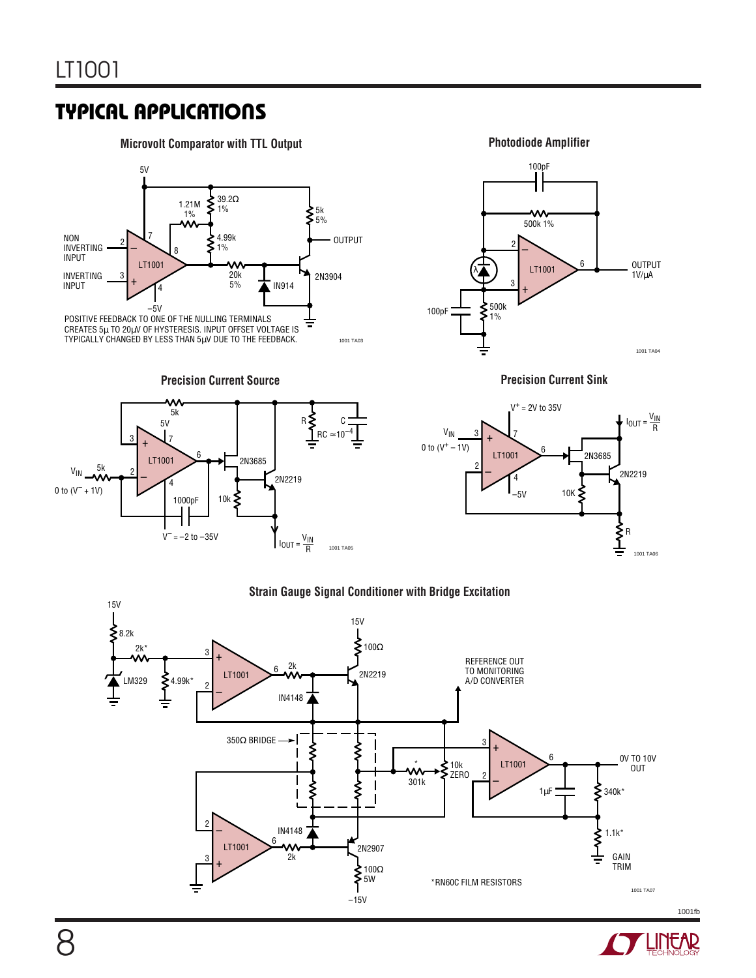**Microvolt Comparator with TTL Output <b>Photodiode Amplifier Photodiode Amplifier** 



**Precision Current Source**





**Precision Current Sink**



#### **Strain Gauge Signal Conditioner with Bridge Excitation**



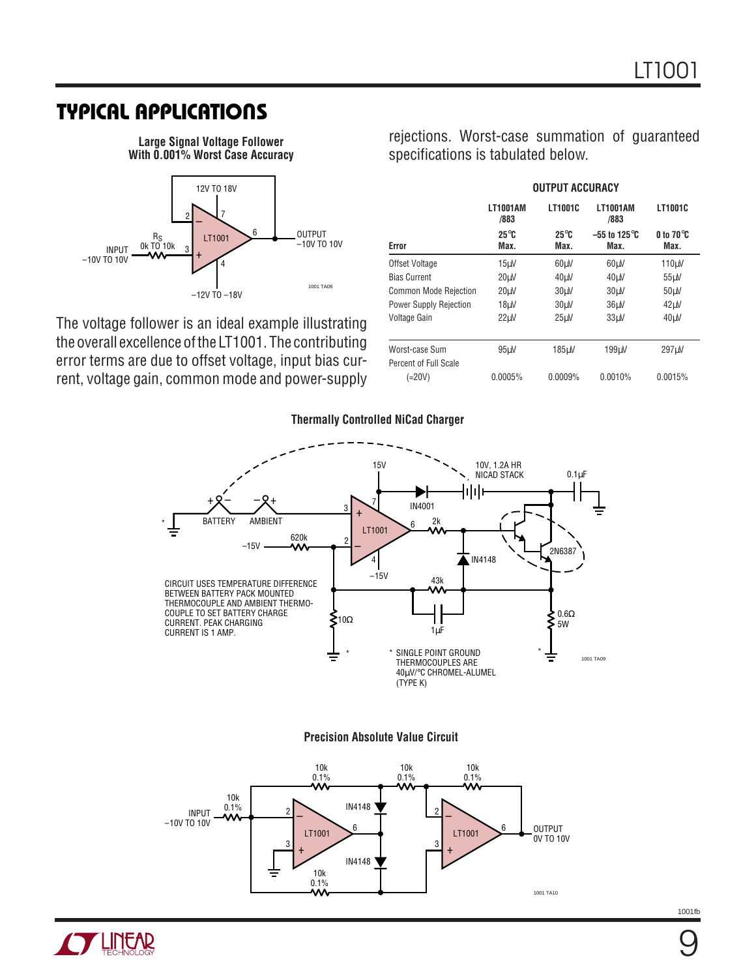**Large Signal Voltage Follower With 0.001% Worst Case Accuracy**



The voltage follower is an ideal example illustrating the overall excellence of the LT1001. The contributing error terms are due to offset voltage, input bias current, voltage gain, common mode and power-supply

 **OUTPUT ACCURACY LT1001AM LT1001C LT1001AM LT1001C /883 /883 25**°**C 25**°**C –55 to 125**°**C 0 to 70**°**C Error Max. Max. Max. Max.** Offset Voltage **15μV** 60μV 60μV 110μV Bias Current 20µV 40µV 40µV 55µV Common Mode Rejection 20µV 30µV 30µV 50µV Power Supply Rejection 18µV 30µV 36µV 42µV Voltage Gain 22µV 25µV 33µV 40µV Worst-case Sum 95µV 185µV 199µV 297µV Percent of Full Scale

rejections. Worst-case summation of guaranteed

specifications is tabulated below.

# (=20V) 0.0005% 0.0009% 0.0010% 0.0015%



#### **Precision Absolute Value Circuit**



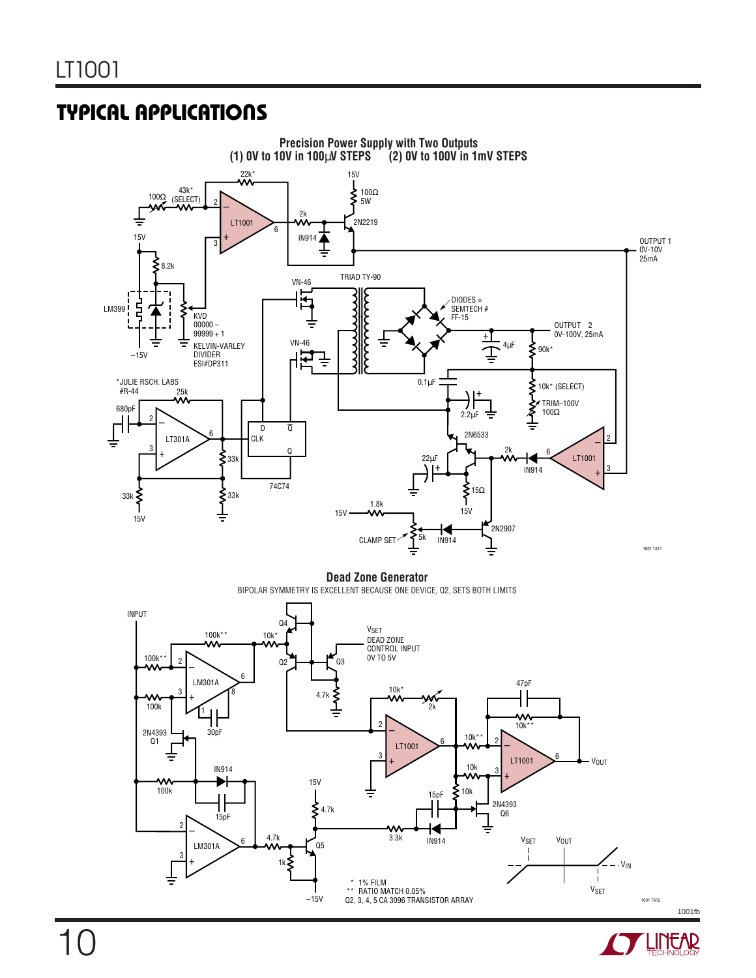

**Dead Zone Generator** BIPOLAR SYMMETRY IS EXCELLENT BECAUSE ONE DEVICE, Q2, SETS BOTH LIMITS



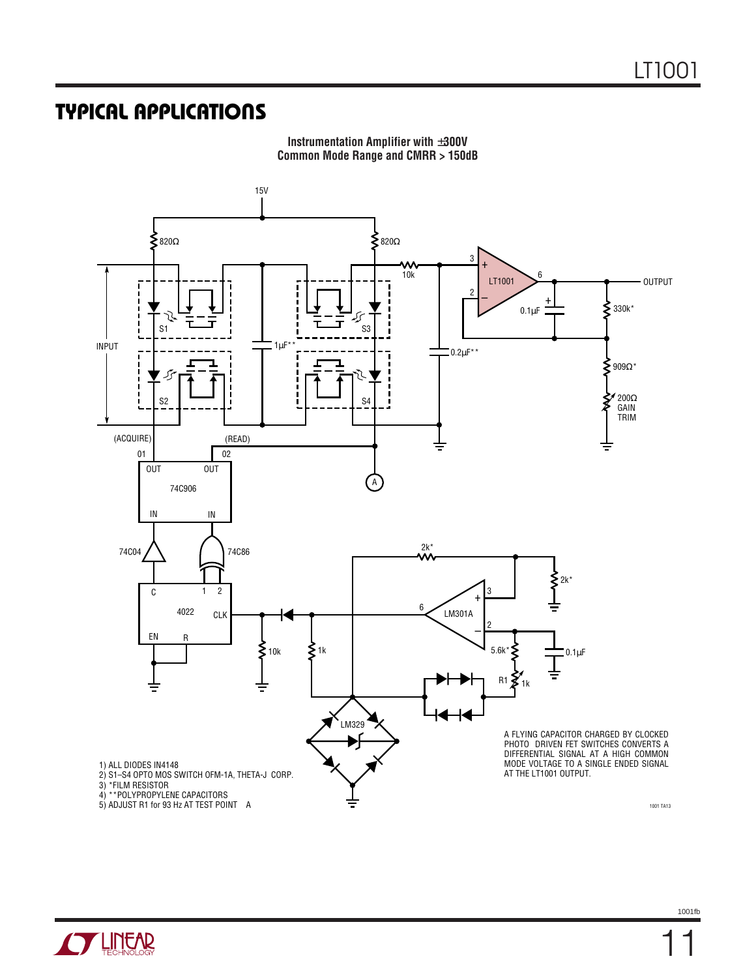

**Instrumentation Amplifier with** ±**300V Common Mode Range and CMRR > 150dB**

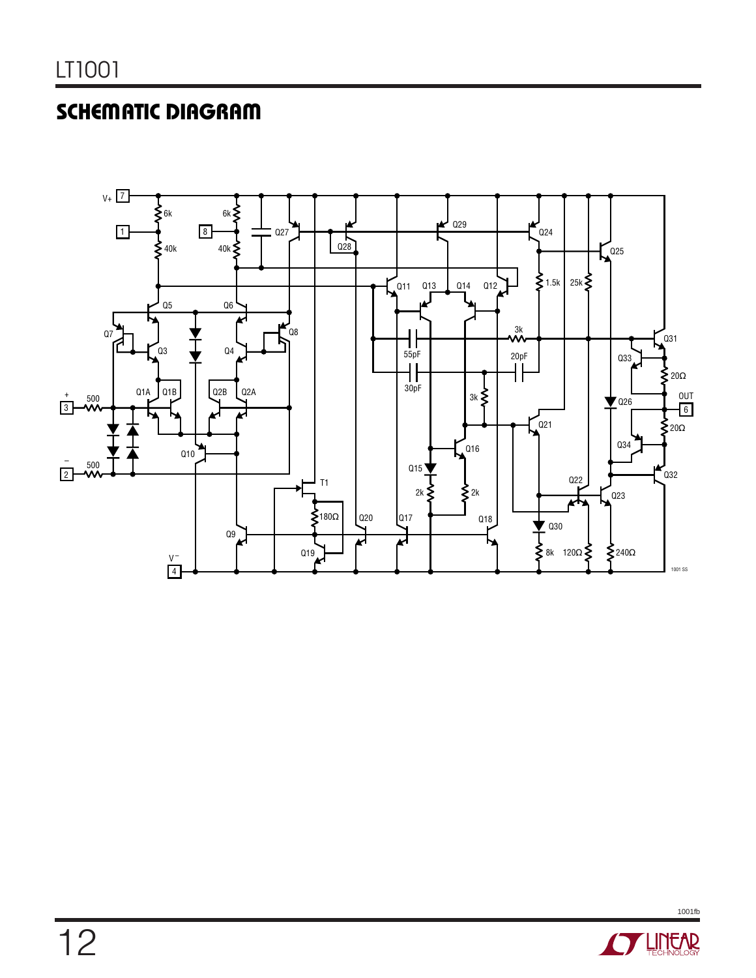## **SCHEMATIC DIAGRAM**



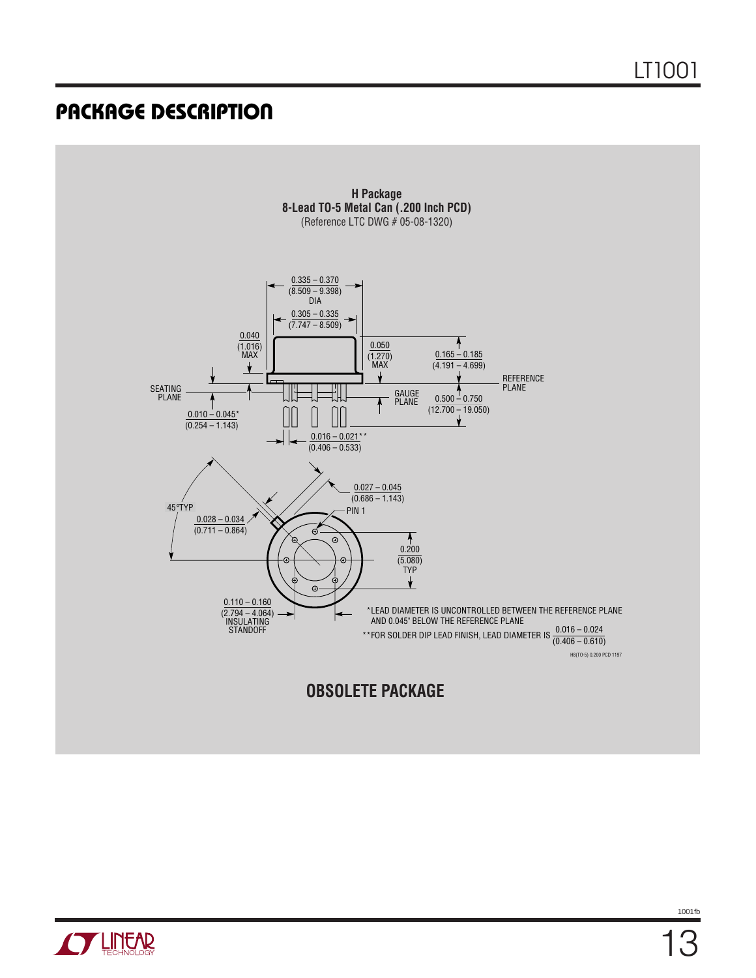

**OBSOLETE PACKAGE**

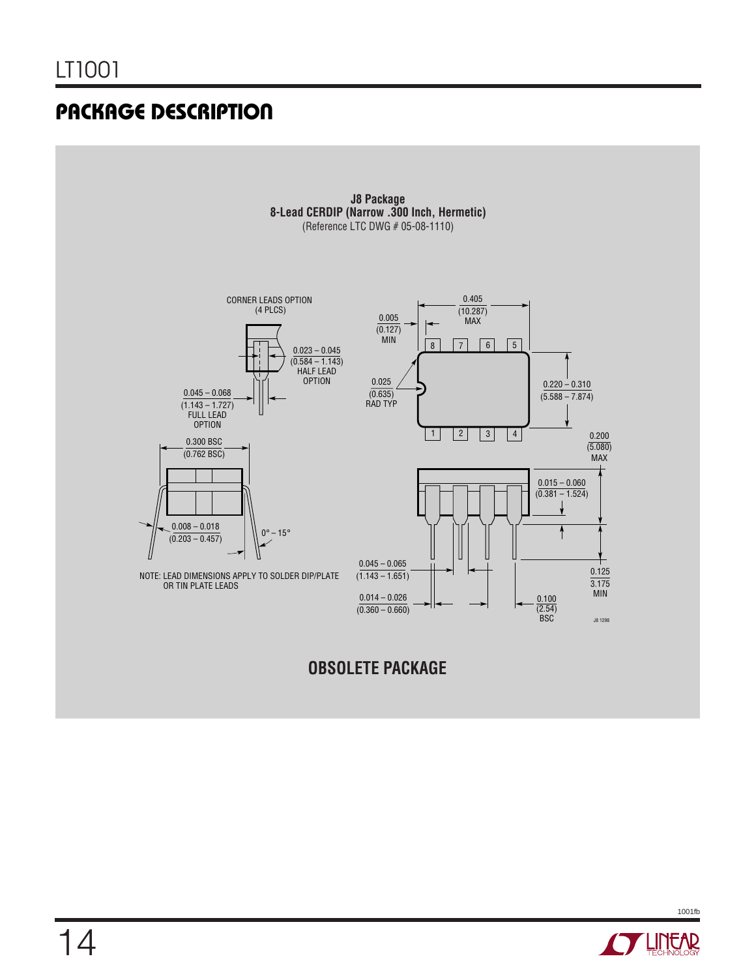

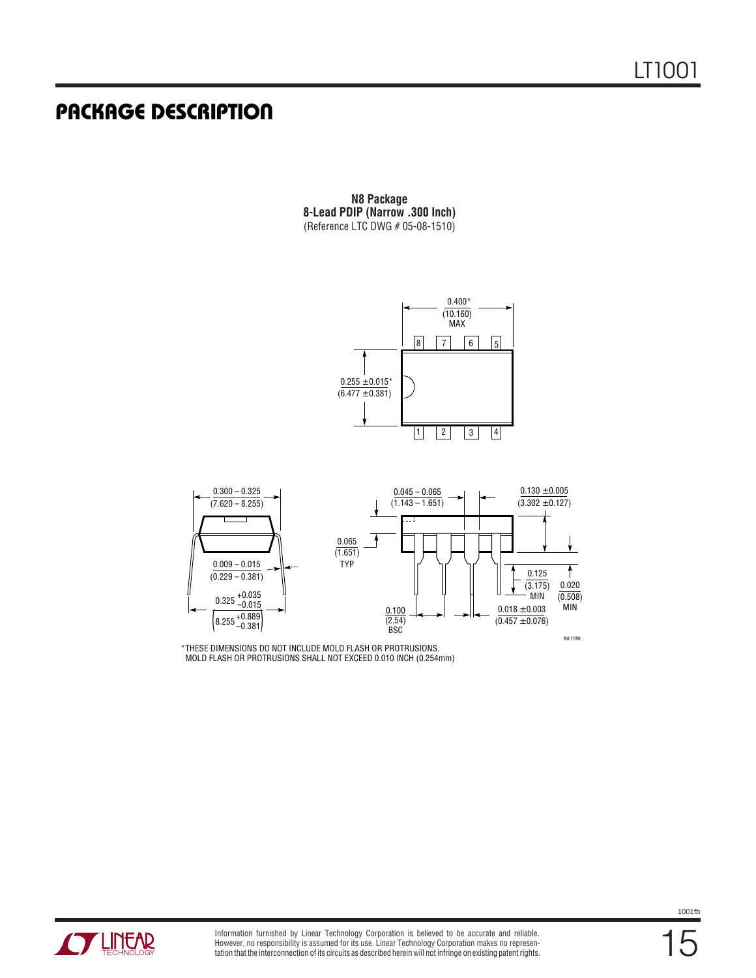**N8 Package 8-Lead PDIP (Narrow .300 Inch)** (Reference LTC DWG # 05-08-1510)





\*THESE DIMENSIONS DO NOT INCLUDE MOLD FLASH OR PROTRUSIONS. MOLD FLASH OR PROTRUSIONS SHALL NOT EXCEED 0.010 INCH (0.254mm)